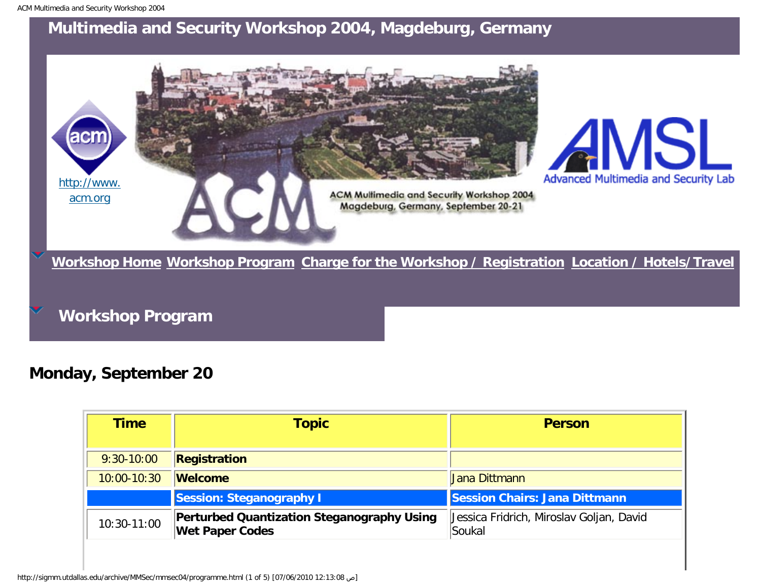## <span id="page-0-0"></span>**Multimedia and Security Workshop 2004, Magdeburg, Germany**



**Workshop Program**

**Monday, September 20**

| Time            | <b>Topic</b>                                                                | <b>Person</b>                                      |
|-----------------|-----------------------------------------------------------------------------|----------------------------------------------------|
| $9:30-10:00$    | Registration                                                                |                                                    |
| $10:00 - 10:30$ | <b>Welcome</b>                                                              | Jana Dittmann                                      |
|                 | <b>Session: Steganography I</b>                                             | Session Chairs: Jana Dittmann                      |
| 10:30-11:00     | <b>Perturbed Quantization Steganography Using</b><br><b>Wet Paper Codes</b> | Jessica Fridrich, Miroslav Goljan, David<br>Soukal |

http://sigmm.utdallas.edu/archive/MMSec/mmsec04/programme.html (1 of 5) [07/06/2010 12:13:08 ص[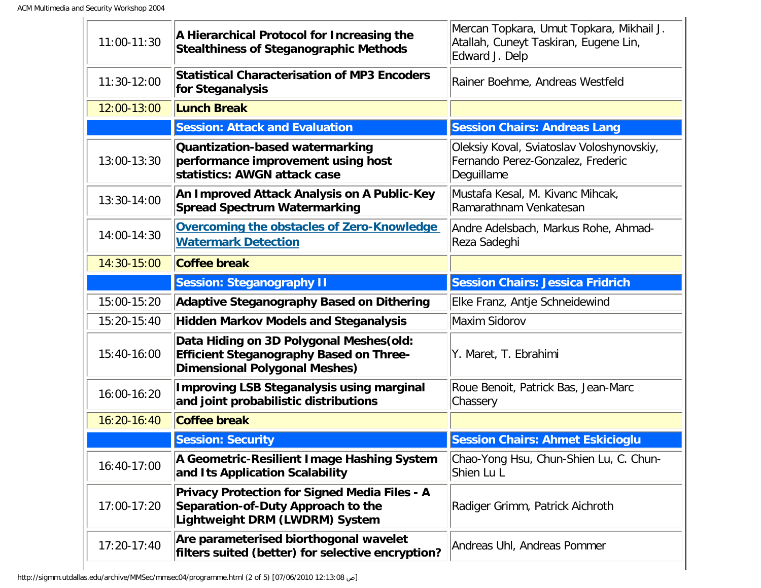| 11:00-11:30 | A Hierarchical Protocol for Increasing the<br><b>Stealthiness of Steganographic Methods</b>                                        | Mercan Topkara, Umut Topkara, Mikhail J.<br>Atallah, Cuneyt Taskiran, Eugene Lin,<br>Edward J. Delp |
|-------------|------------------------------------------------------------------------------------------------------------------------------------|-----------------------------------------------------------------------------------------------------|
| 11:30-12:00 | <b>Statistical Characterisation of MP3 Encoders</b><br>for Steganalysis                                                            | Rainer Boehme, Andreas Westfeld                                                                     |
| 12:00-13:00 | <b>Lunch Break</b>                                                                                                                 |                                                                                                     |
|             | <b>Session: Attack and Evaluation</b>                                                                                              | <b>Session Chairs: Andreas Lang</b>                                                                 |
| 13:00-13:30 | Quantization-based watermarking<br>performance improvement using host<br>statistics: AWGN attack case                              | Oleksiy Koval, Sviatoslav Voloshynovskiy,<br>Fernando Perez-Gonzalez, Frederic<br>Deguillame        |
| 13:30-14:00 | An Improved Attack Analysis on A Public-Key<br><b>Spread Spectrum Watermarking</b>                                                 | Mustafa Kesal, M. Kivanc Mihcak,<br>Ramarathnam Venkatesan                                          |
| 14:00-14:30 | Overcoming the obstacles of Zero-Knowledge<br><b>Watermark Detection</b>                                                           | Andre Adelsbach, Markus Rohe, Ahmad-<br>Reza Sadeghi                                                |
| 14:30-15:00 | <b>Coffee break</b>                                                                                                                |                                                                                                     |
|             | <b>Session: Steganography II</b>                                                                                                   | <b>Session Chairs: Jessica Fridrich</b>                                                             |
| 15:00-15:20 | <b>Adaptive Steganography Based on Dithering</b>                                                                                   | Elke Franz, Antje Schneidewind                                                                      |
| 15:20-15:40 | <b>Hidden Markov Models and Steganalysis</b>                                                                                       | Maxim Sidorov                                                                                       |
| 15:40-16:00 | Data Hiding on 3D Polygonal Meshes (old:<br><b>Efficient Steganography Based on Three-</b><br><b>Dimensional Polygonal Meshes)</b> | Y. Maret, T. Ebrahimi                                                                               |
| 16:00-16:20 | <b>Improving LSB Steganalysis using marginal</b><br>and joint probabilistic distributions                                          | Roue Benoit, Patrick Bas, Jean-Marc<br>Chassery                                                     |
| 16:20-16:40 | <b>Coffee break</b>                                                                                                                |                                                                                                     |
|             | <b>Session: Security</b>                                                                                                           | <b>Session Chairs: Ahmet Eskicioglu</b>                                                             |
| 16:40-17:00 | A Geometric-Resilient Image Hashing System<br>and Its Application Scalability                                                      | Chao-Yong Hsu, Chun-Shien Lu, C. Chun-<br>Shien Lu L                                                |
| 17:00-17:20 | <b>Privacy Protection for Signed Media Files - A</b><br>Separation-of-Duty Approach to the<br>Lightweight DRM (LWDRM) System       | Radiger Grimm, Patrick Aichroth                                                                     |
| 17:20-17:40 | Are parameterised biorthogonal wavelet<br>filters suited (better) for selective encryption?                                        | Andreas Uhl, Andreas Pommer                                                                         |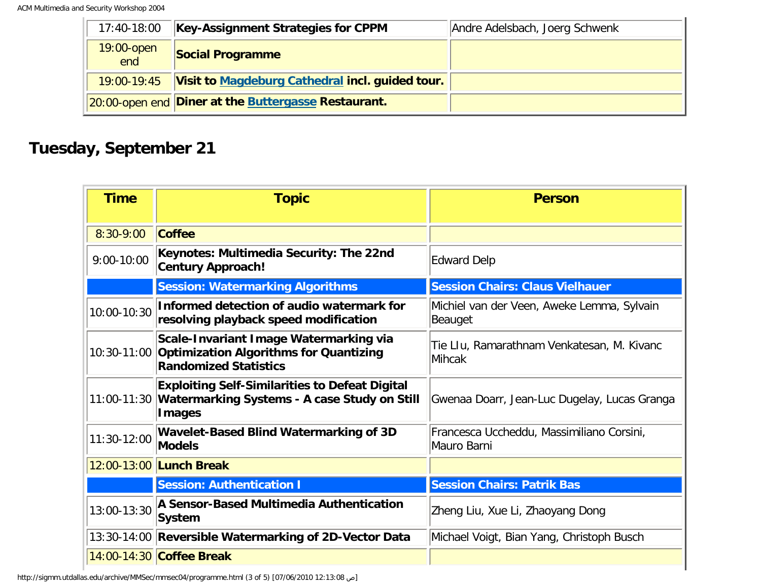| 17:40-18:00          | <b>Key-Assignment Strategies for CPPM</b>           | Andre Adelsbach, Joerg Schwenk |
|----------------------|-----------------------------------------------------|--------------------------------|
| $19:00$ -open<br>end | <b>Social Programme</b>                             |                                |
| 19:00-19:45          | Visit to Magdeburg Cathedral incl. guided tour.     |                                |
|                      | 20:00-open end Diner at the Buttergasse Restaurant. |                                |

## **Tuesday, September 21**

| <b>Time</b>    | <b>Topic</b>                                                                                                                       | <b>Person</b>                                            |
|----------------|------------------------------------------------------------------------------------------------------------------------------------|----------------------------------------------------------|
| 8:30-9:00      | <b>Coffee</b>                                                                                                                      |                                                          |
| $9:00 - 10:00$ | Keynotes: Multimedia Security: The 22nd<br><b>Century Approach!</b>                                                                | Edward Delp                                              |
|                | <b>Session: Watermarking Algorithms</b>                                                                                            | <b>Session Chairs: Claus Vielhauer</b>                   |
| 10:00-10:30    | Informed detection of audio watermark for<br>resolving playback speed modification                                                 | Michiel van der Veen, Aweke Lemma, Sylvain<br>Beauget    |
|                | Scale-Invariant Image Watermarking via<br>10:30-11:00 Optimization Algorithms for Quantizing<br><b>Randomized Statistics</b>       | Tie Llu, Ramarathnam Venkatesan, M. Kivanc<br>Mihcak     |
|                | <b>Exploiting Self-Similarities to Defeat Digital</b><br>11:00-11:30 Watermarking Systems - A case Study on Still<br><b>Images</b> | Gwenaa Doarr, Jean-Luc Dugelay, Lucas Granga             |
| 11:30-12:00    | <b>Wavelet-Based Blind Watermarking of 3D</b><br><b>Models</b>                                                                     | Francesca Uccheddu, Massimiliano Corsini,<br>Mauro Barni |
|                | 12:00-13:00 Lunch Break                                                                                                            |                                                          |
|                | <b>Session: Authentication I</b>                                                                                                   | <b>Session Chairs: Patrik Bas</b>                        |
| 13:00-13:30    | A Sensor-Based Multimedia Authentication<br>System                                                                                 | Zheng Liu, Xue Li, Zhaoyang Dong                         |
|                | 13:30-14:00 Reversible Watermarking of 2D-Vector Data                                                                              | Michael Voigt, Bian Yang, Christoph Busch                |
|                | 14:00-14:30 Coffee Break                                                                                                           |                                                          |

http://sigmm.utdallas.edu/archive/MMSec/mmsec04/programme.html (3 of 5) [07/06/2010 12:13:08 ص[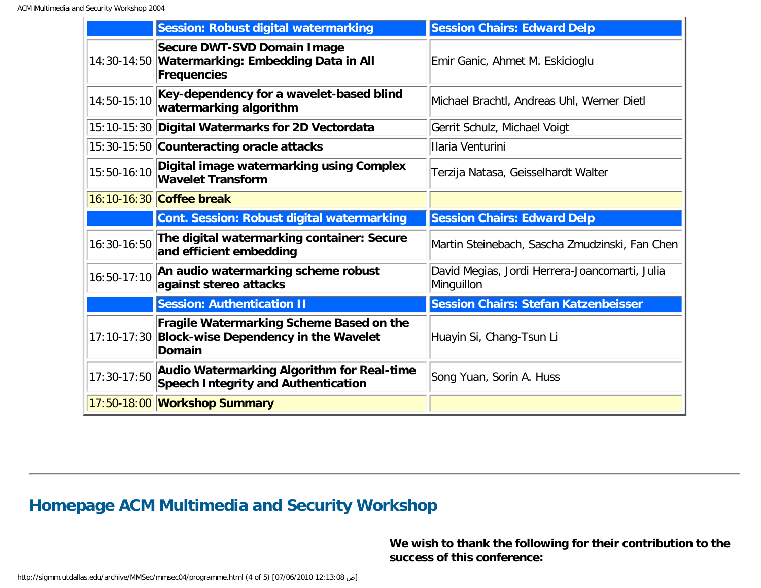|             | <b>Session: Robust digital watermarking</b>                                                            | <b>Session Chairs: Edward Delp</b>                           |
|-------------|--------------------------------------------------------------------------------------------------------|--------------------------------------------------------------|
|             | Secure DWT-SVD Domain Image<br>14:30-14:50 Watermarking: Embedding Data in All<br>Frequencies          | Emir Ganic, Ahmet M. Eskicioglu                              |
| 14:50-15:10 | Key-dependency for a wavelet-based blind<br>watermarking algorithm                                     | Michael Brachtl, Andreas Uhl, Werner Dietl                   |
|             | 15:10-15:30 Digital Watermarks for 2D Vectordata                                                       | Gerrit Schulz, Michael Voigt                                 |
|             | 15:30-15:50 Counteracting oracle attacks                                                               | Ilaria Venturini                                             |
| 15:50-16:10 | Digital image watermarking using Complex<br><b>Wavelet Transform</b>                                   | Terzija Natasa, Geisselhardt Walter                          |
|             | 16:10-16:30 Coffee break                                                                               |                                                              |
|             | <b>Cont. Session: Robust digital watermarking</b>                                                      | <b>Session Chairs: Edward Delp</b>                           |
| 16:30-16:50 | The digital watermarking container: Secure<br>and efficient embedding                                  | Martin Steinebach, Sascha Zmudzinski, Fan Chen               |
| 16:50-17:10 | An audio watermarking scheme robust<br>against stereo attacks                                          | David Megias, Jordi Herrera-Joancomarti, Julia<br>Minguillon |
|             | <b>Session: Authentication II</b>                                                                      | <b>Session Chairs: Stefan Katzenbeisser</b>                  |
|             | Fragile Watermarking Scheme Based on the<br>17:10-17:30 Block-wise Dependency in the Wavelet<br>Domain | Huayin Si, Chang-Tsun Li                                     |
| 17:30-17:50 | Audio Watermarking Algorithm for Real-time<br><b>Speech Integrity and Authentication</b>               | Song Yuan, Sorin A. Huss                                     |
|             | 17:50-18:00 Workshop Summary                                                                           |                                                              |

## **[Homepage ACM Multimedia and Security Workshop](http://wwwiti.cs.uni-magdeburg.de/iti_amsl/acm/acm_home.html)**

**We wish to thank the following for their contribution to the success of this conference:**